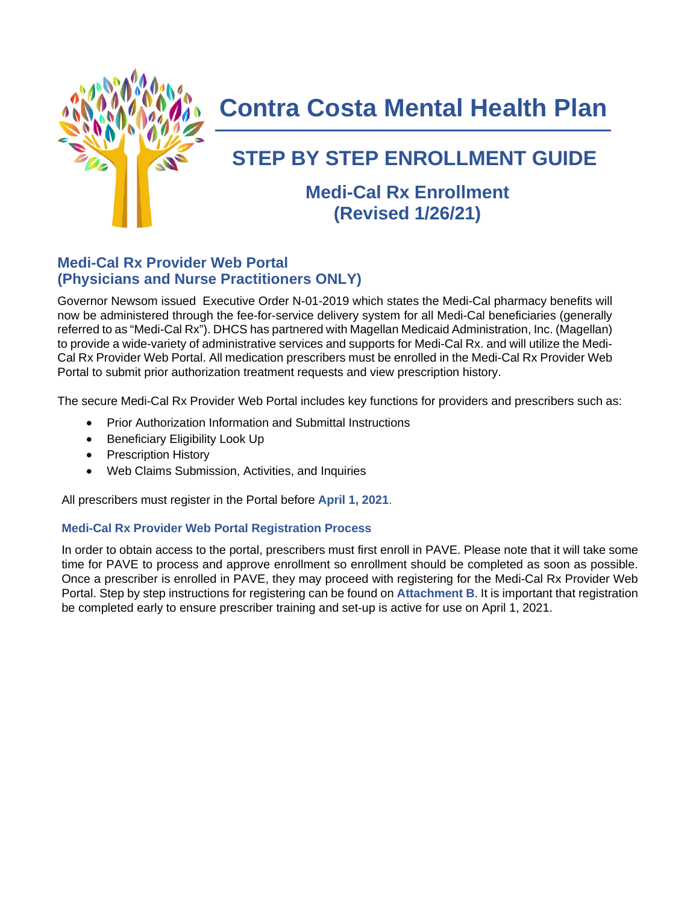

# **Contra Costa Mental Health Plan**

## **STEP BY STEP ENROLLMENT GUIDE**

## **Medi-Cal Rx Enrollment (Revised 1/26/21)**

## **Medi-Cal Rx Provider Web Portal (Physicians and Nurse Practitioners ONLY)**

Governor Newsom issued Executive Order N-01-2019 which states the Medi-Cal pharmacy benefits will now be administered through the fee-for-service delivery system for all Medi-Cal beneficiaries (generally referred to as "Medi-Cal Rx"). DHCS has partnered with Magellan Medicaid Administration, Inc. (Magellan) to provide a wide-variety of administrative services and supports for Medi-Cal Rx. and will utilize the Medi-Cal Rx Provider Web Portal. All medication prescribers must be enrolled in the Medi-Cal Rx Provider Web Portal to submit prior authorization treatment requests and view prescription history.

The secure Medi-Cal Rx Provider Web Portal includes key functions for providers and prescribers such as:

- Prior Authorization Information and Submittal Instructions
- Beneficiary Eligibility Look Up
- Prescription History
- Web Claims Submission, Activities, and Inquiries

All prescribers must register in the Portal before **April 1, 2021**.

## **Medi-Cal Rx Provider Web Portal Registration Process**

In order to obtain access to the portal, prescribers must first enroll in PAVE. Please note that it will take some time for PAVE to process and approve enrollment so enrollment should be completed as soon as possible. Once a prescriber is enrolled in PAVE, they may proceed with registering for the Medi-Cal Rx Provider Web Portal. Step by step instructions for registering can be found on **Attachment B**. It is important that registration be completed early to ensure prescriber training and set-up is active for use on April 1, 2021.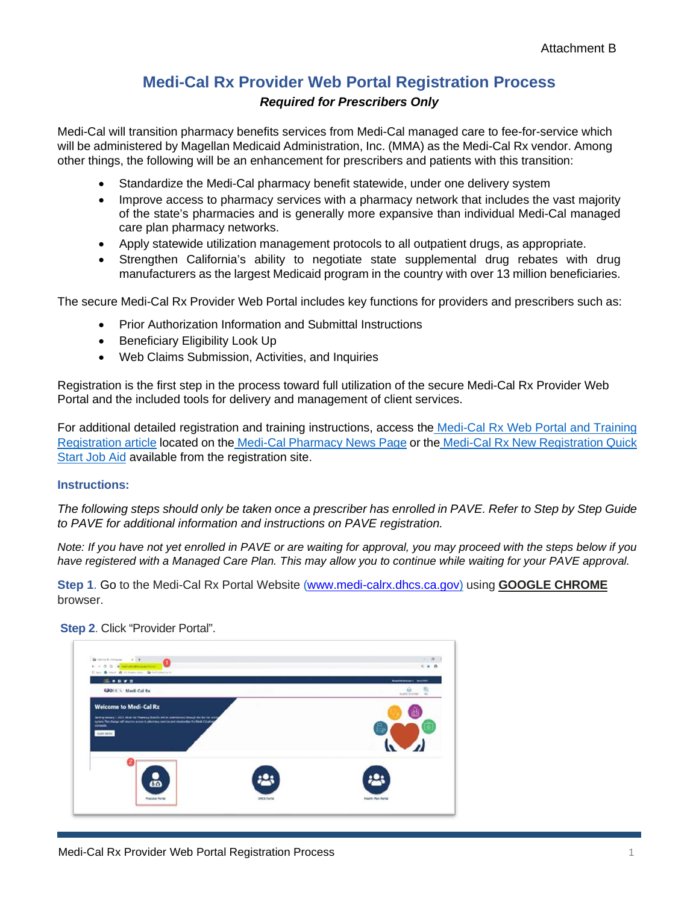## **Medi-Cal Rx Provider Web Portal Registration Process** *Required for Prescribers Only*

Medi-Cal will transition pharmacy benefits services from Medi-Cal managed care to fee-for-service which will be administered by Magellan Medicaid Administration, Inc. (MMA) as the Medi-Cal Rx vendor. Among other things, the following will be an enhancement for prescribers and patients with this transition:

- Standardize the Medi-Cal pharmacy benefit statewide, under one delivery system
- Improve access to pharmacy services with a pharmacy network that includes the vast majority of the state's pharmacies and is generally more expansive than individual Medi-Cal managed care plan pharmacy networks.
- Apply statewide utilization management protocols to all outpatient drugs, as appropriate.
- Strengthen California's ability to negotiate state supplemental drug rebates with drug manufacturers as the largest Medicaid program in the country with over 13 million beneficiaries.

The secure Medi-Cal Rx Provider Web Portal includes key functions for providers and prescribers such as:

- Prior Authorization Information and Submittal Instructions
- Beneficiary Eligibility Look Up
- Web Claims Submission, Activities, and Inquiries

Registration is the first step in the process toward full utilization of the secure Medi-Cal Rx Provider Web Portal and the included tools for delivery and management of client services.

For additional detailed registration and training instructions, access the Medi-Cal Rx Web Portal and Training Registration article located on the Medi-Cal Pharmacy News Page or the Medi-Cal Rx New Registration Quick Start Job Aid available from the registration site.

### **Instructions:**

*The following steps should only be taken once a prescriber has enrolled in PAVE. Refer to Step by Step Guide to PAVE for additional information and instructions on PAVE registration.*

*Note: If you have not yet enrolled in PAVE or are waiting for approval, you may proceed with the steps below if you have registered with a Managed Care Plan. This may allow you to continue while waiting for your PAVE approval.*

**Step 1**. Go to the Medi-Cal Rx Portal Website [\(www.medi-calrx.dhcs.ca.gov\)](http://www.medi-calrx.dhcs.ca.gov/) using **GOOGLE CHROME** browser.

### **Step 2**. Click "Provider Portal".

| launa silean |
|--------------|
|              |
|              |
|              |
|              |
|              |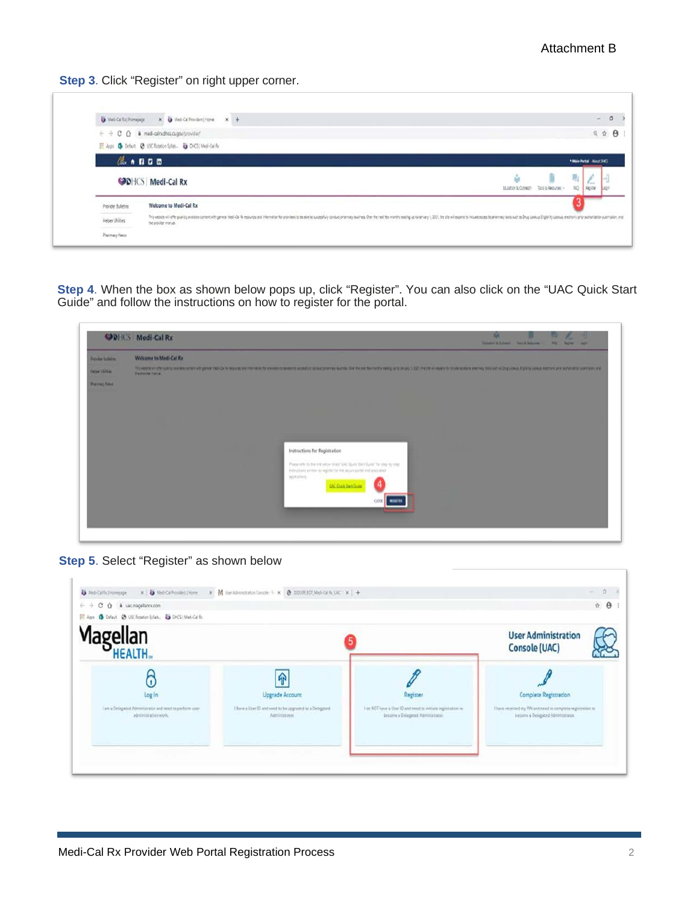**Step 3**. Click "Register" on right upper corner.

| Ust Calls ( Homepage | X 3 Med-Cal Provident   Home X +                                                                                                                                                                                                                       |                       |                                   |                          |
|----------------------|--------------------------------------------------------------------------------------------------------------------------------------------------------------------------------------------------------------------------------------------------------|-----------------------|-----------------------------------|--------------------------|
|                      | $\epsilon \rightarrow c \; 0 \;$ & med-aindhocagov/provider/                                                                                                                                                                                           |                       |                                   | Q 台                      |
|                      | El Apps & Default @ USC Rotation Spites- @ DHCS   Medi-Calify                                                                                                                                                                                          |                       |                                   |                          |
|                      | 4.1111                                                                                                                                                                                                                                                 |                       |                                   | *Max Pertai / About DACS |
|                      | <b>ODHCS</b> Medi-Cal Rx                                                                                                                                                                                                                               | ŵ<br>Studen & Outside | 陋<br>D<br>RQ<br>TOO'S & REQUIRE V | ľ.<br>Region             |
| Provider Bulletins   | Welcome to Medi-Cal Rx                                                                                                                                                                                                                                 |                       |                                   |                          |
| Helper Utilities     | This website will offer publicy awares comen in the persistence of Remoters and of the media to predict concentrative conductions comented to the the term be more and op any in 221, te she will expect to concentrate to pre<br>the provider manual. |                       |                                   |                          |
|                      |                                                                                                                                                                                                                                                        |                       |                                   |                          |

**Step 4**. When the box as shown below pops up, click "Register". You can also click on the "UAC Quick Start Guide" and follow the instructions on how to register for the portal.



**Step 5**. Select "Register" as shown below

| $C$ $\Omega$ & uscmapillars.com<br>$\leftrightarrow$<br>O Drfest @ USC Research/Seb. @ DHS   Med-Callis<br>225 Apps |                                                                           |                                                                                                 |                                                                                                | $\triangle$ $\theta$ |
|---------------------------------------------------------------------------------------------------------------------|---------------------------------------------------------------------------|-------------------------------------------------------------------------------------------------|------------------------------------------------------------------------------------------------|----------------------|
| Magellan<br>HEALTH                                                                                                  |                                                                           |                                                                                                 | <b>User Administration</b><br>Console (UAC)                                                    |                      |
| n<br>Log In                                                                                                         | ଳ<br>Upgrade Account                                                      | Register                                                                                        | Complete Registration                                                                          |                      |
| Lam a Delegated Administrator and need to perform user<br>administration work.                                      | I have a User ID and need to be upgraded to a Delegated<br>Agministrator. | Las NOT have a User 10 and need to initiate registration to<br>become a Detegated Administrated | Thave received my PN and need to complete registration to<br>become a Detegated Administrator. |                      |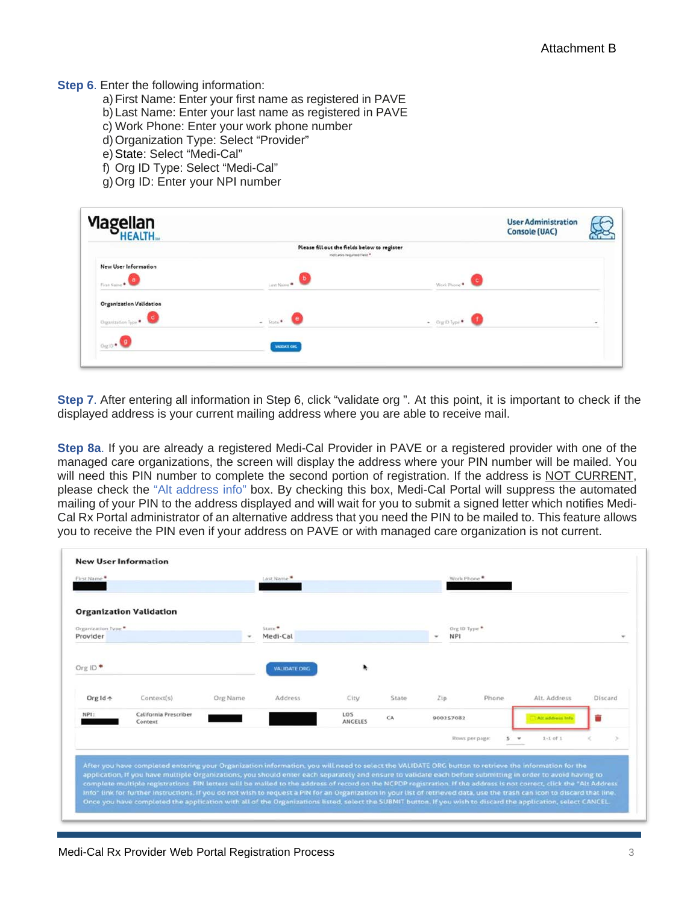#### **Step 6.** Enter the following information:

- a)First Name: Enter your first name as registered in PAVE
- b) Last Name: Enter your last name as registered in PAVE
- c) Work Phone: Enter your work phone number
- d) Organization Type: Select "Provider"
- e)State: Select "Medi-Cal"
- f) Org ID Type: Select "Medi-Cal"
- g)Org ID: Enter your NPI number

| <b>Magellan</b><br>HEALTH                                  |                                                                            |                                | <b>User Administration</b><br><b>Console (UAC)</b> |        |
|------------------------------------------------------------|----------------------------------------------------------------------------|--------------------------------|----------------------------------------------------|--------|
|                                                            | Please fill out the fields below to register<br>Indicates required field * |                                |                                                    |        |
| New User Information<br>First Name                         |                                                                            | Work Phone +                   |                                                    |        |
| <b>Organization Validation</b><br>( d<br>Organization Type | $-$ State $-$                                                              | $\bullet$ Orgio type $\bullet$ |                                                    | $\sim$ |
| $0910$ .                                                   | VALIDATE ORG                                                               |                                |                                                    |        |

**Step 7**. After entering all information in Step 6, click "validate org ". At this point, it is important to check if the displayed address is your current mailing address where you are able to receive mail.

**Step 8a**. If you are already a registered Medi-Cal Provider in PAVE or a registered provider with one of the managed care organizations, the screen will display the address where your PIN number will be mailed. You will need this PIN number to complete the second portion of registration. If the address is NOT CURRENT, please check the "Alt address info" box. By checking this box, Medi-Cal Portal will suppress the automated mailing of your PIN to the address displayed and will wait for you to submit a signed letter which notifies Medi-Cal Rx Portal administrator of an alternative address that you need the PIN to be mailed to. This feature allows you to receive the PIN even if your address on PAVE or with managed care organization is not current.

|                                  |                                                                  | Last Name <sup>®</sup> |                       |       |                      | Work Phone |                                                                                                                                                                           |                                                                                                                                                                                                                                                                                                                                                                                                                                                                                                         |
|----------------------------------|------------------------------------------------------------------|------------------------|-----------------------|-------|----------------------|------------|---------------------------------------------------------------------------------------------------------------------------------------------------------------------------|---------------------------------------------------------------------------------------------------------------------------------------------------------------------------------------------------------------------------------------------------------------------------------------------------------------------------------------------------------------------------------------------------------------------------------------------------------------------------------------------------------|
|                                  |                                                                  |                        |                       |       |                      |            |                                                                                                                                                                           |                                                                                                                                                                                                                                                                                                                                                                                                                                                                                                         |
|                                  |                                                                  | State <sup>®</sup>     |                       |       |                      |            |                                                                                                                                                                           |                                                                                                                                                                                                                                                                                                                                                                                                                                                                                                         |
|                                  |                                                                  | Medi-Cal               |                       |       | <b>NPI</b><br>$\sim$ |            |                                                                                                                                                                           | ۰                                                                                                                                                                                                                                                                                                                                                                                                                                                                                                       |
|                                  |                                                                  | <b>VALIDATE ORG</b>    |                       |       |                      |            |                                                                                                                                                                           |                                                                                                                                                                                                                                                                                                                                                                                                                                                                                                         |
| Context(s)                       | Org Name                                                         | Address                | City                  | State | Zip                  | Phone      | Alt, Address                                                                                                                                                              | Discard                                                                                                                                                                                                                                                                                                                                                                                                                                                                                                 |
| California Prescriber<br>Context |                                                                  |                        | LOS<br><b>ANGELES</b> | CA    |                      |            | Altaddress Inf                                                                                                                                                            |                                                                                                                                                                                                                                                                                                                                                                                                                                                                                                         |
|                                  |                                                                  |                        |                       |       |                      |            | $1 - I of I$                                                                                                                                                              |                                                                                                                                                                                                                                                                                                                                                                                                                                                                                                         |
|                                  |                                                                  |                        |                       |       |                      |            |                                                                                                                                                                           |                                                                                                                                                                                                                                                                                                                                                                                                                                                                                                         |
|                                  |                                                                  |                        |                       |       |                      |            |                                                                                                                                                                           |                                                                                                                                                                                                                                                                                                                                                                                                                                                                                                         |
|                                  |                                                                  |                        |                       |       |                      |            | Info" link for further instructions. If you do not wish to request a PIN for an Organization in your list of retrieved data, use the trash can icon to discard that line, |                                                                                                                                                                                                                                                                                                                                                                                                                                                                                                         |
|                                  | <b>Organization Validation</b><br>Organization Type <sup>®</sup> |                        |                       |       |                      |            | Org ID Type *<br>900257082<br>Rows per page:                                                                                                                              | $5 - w$<br>After you have completed entering your Organization information, you will need to select the VALIDATE ORG button to retrieve the information for the<br>application, If you have multiple Organizations, you should enter each separately and ensure to validate each before submitting in order to avoid having to<br>complete multiple registrations. PIN letters will be mailed to the address of record on the NCPDP registration. If the address is not correct, click the "Alt Address |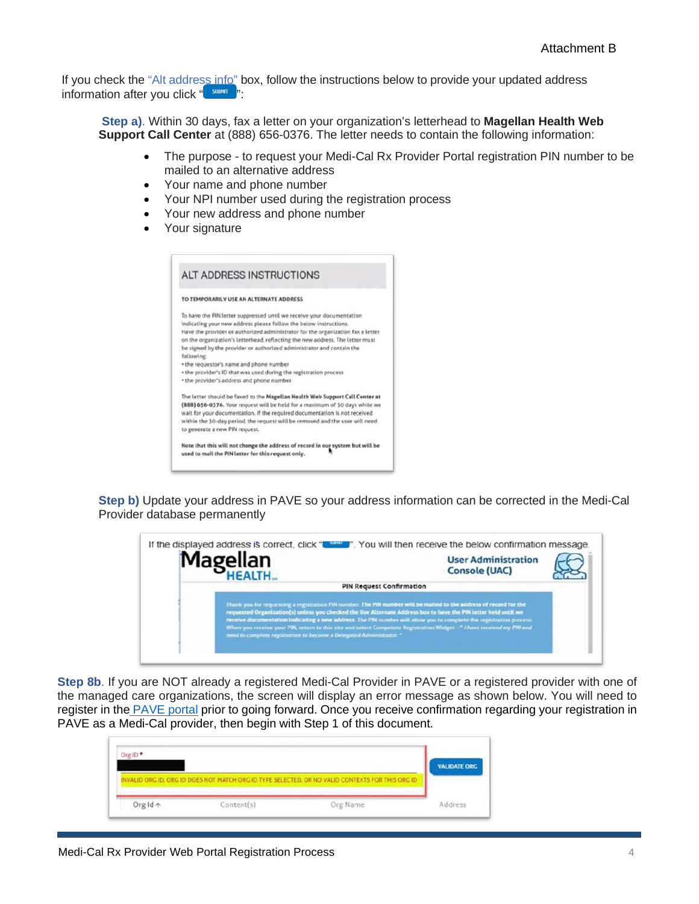If you check the "Alt address info" box, follow the instructions below to provide your updated address information after you click " surver ":

**Step a)**. Within 30 days, fax a letter on your organization's letterhead to **Magellan Health Web Support Call Center** at (888) 656-0376. The letter needs to contain the following information:

- The purpose to request your Medi-Cal Rx Provider Portal registration PIN number to be mailed to an alternative address
- Your name and phone number
- Your NPI number used during the registration process
- Your new address and phone number
- Your signature

| <b>ALT ADDRESS INSTRUCTIONS</b>                                                                                                                                                                                                                                                                                                                                                                                                                                                                                                                                   |
|-------------------------------------------------------------------------------------------------------------------------------------------------------------------------------------------------------------------------------------------------------------------------------------------------------------------------------------------------------------------------------------------------------------------------------------------------------------------------------------------------------------------------------------------------------------------|
| TO TEMPORARILY USE AN ALTERNATE ADDRESS                                                                                                                                                                                                                                                                                                                                                                                                                                                                                                                           |
| To have the PIN letter suppressed until we receive your documentation<br>indicating your new address please follow the below instructions.<br>Have the provider or authorized administrator for the organization fax a letter<br>on the organization's letterhead, reflecting the new address. The letter must<br>be signed by the provider or authorized administrator and contain the<br>following<br>· the requestor's name and phone number<br>. the provider's ID that was used during the registration process<br>· the provider's address and phone number |
| The letter should be faxed to the Magellan Health Web Support Call Center at<br>(888) 656-0376. Your request will be held for a maximum of 30 days while we<br>walt for your documentation. If the required documentation is not received<br>within the 30-day period, the request will be removed and the user will need<br>to generate a new PIN request.                                                                                                                                                                                                       |
| Note that this will not change the address of record in our system but will be<br>used to mail the PIN letter for this request only.                                                                                                                                                                                                                                                                                                                                                                                                                              |

**Step b)** Update your address in PAVE so your address information can be corrected in the Medi-Cal Provider database permanently



**Step 8b**. If you are NOT already a registered Medi-Cal Provider in PAVE or a registered provider with one of the managed care organizations, the screen will display an error message as shown below. You will need to register in the PAVE portal prior to going forward. Once you receive confirmation regarding your registration in PAVE as a Medi-Cal provider, then begin with Step 1 of this document.

| Org ID <sup>*</sup> |                                                                                                  | <b>VALIDATE ORG</b> |
|---------------------|--------------------------------------------------------------------------------------------------|---------------------|
|                     |                                                                                                  |                     |
|                     | INVALIDIORG ID, ORG ID DOES NOT MATCH ORG ID TYPE SELECTED, OR NO VALID CONTEXTS FOR THIS ORG ID |                     |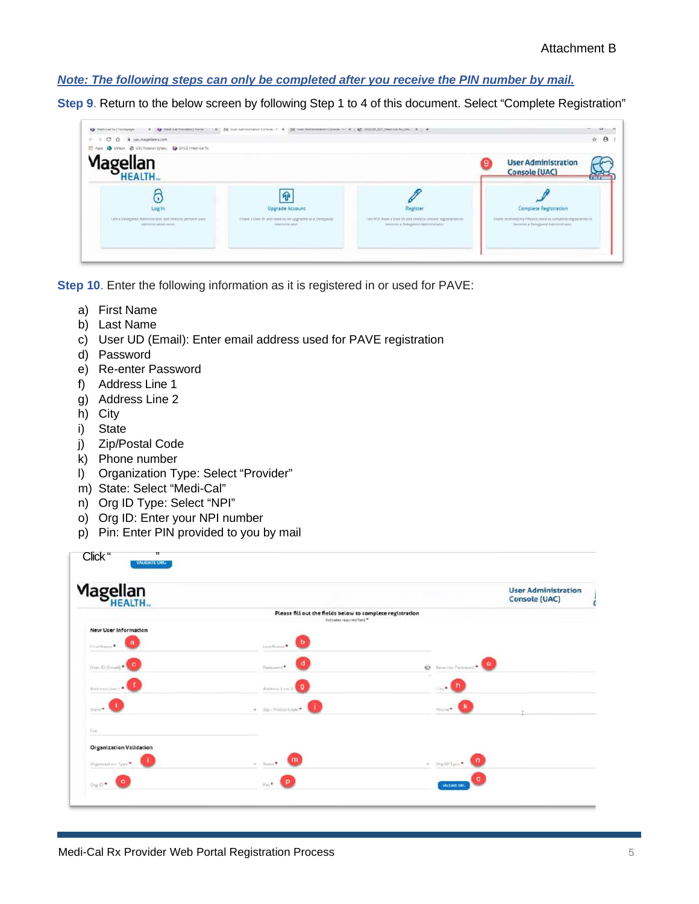### *Note: The following steps can only be completed after you receive the PIN number by mail.*

**Step 9**. Return to the below screen by following Step 1 to 4 of this document. Select "Complete Registration"

| C Q & uscmagellancs.com<br>や ゆ<br>O Dylant @ USC Roboton Sylan. @ DHOS (Mask Callin<br>HI Apps |                                                                           |                                                                                                 | $\hat{\pi}$ $\theta$                                                                         |
|------------------------------------------------------------------------------------------------|---------------------------------------------------------------------------|-------------------------------------------------------------------------------------------------|----------------------------------------------------------------------------------------------|
| Magellan<br>HEALTH                                                                             |                                                                           |                                                                                                 | <b>User Administration</b><br><b>Console (UAC)</b>                                           |
| Log In                                                                                         | 介<br>Upgrade Account                                                      | Register                                                                                        | Complete Registration                                                                        |
| I am a Detegoind Administrator and need to perform inter-<br><b>SONNING ACON WING</b>          | Theve a User ID and rined to be upgrootd to a Delegated<br>Amendeignance: | I do NOT have a User 10 and need to imitiate implements to<br>tocome a Detegated Administrator. | These received my PR and reed to complete regimation to<br>bacome a Designiel Administrator. |

**Step 10**. Enter the following information as it is registered in or used for PAVE:

- a) First Name
- b) Last Name
- c) User UD (Email): Enter email address used for PAVE registration
- d) Password
- e) Re-enter Password
- f) Address Line 1
- g) Address Line 2
- h) City
- i) State
- j) Zip/Postal Code
- k) Phone number
- l) Organization Type: Select "Provider"
- m) State: Select "Medi-Cal"
- n) Org ID Type: Select "NPI"
- o) Org ID: Enter your NPI number
- p) Pin: Enter PIN provided to you by mail

| Magellan<br>HEALTH                                   |                                                                                         |                                 | <b>User Administration</b><br><b>Console (UAC)</b> |
|------------------------------------------------------|-----------------------------------------------------------------------------------------|---------------------------------|----------------------------------------------------|
|                                                      | Please fill out the fields below to complete registration<br>Indicates required field * |                                 |                                                    |
| New User Information<br>a<br>First Name <sup>4</sup> | b<br>Last Name *                                                                        |                                 |                                                    |
| User O (Drug) - C                                    | d<br>Password *                                                                         | <sup>*</sup> Rewmar Password*   |                                                    |
| Address Line 1 .                                     | ø<br>Anterstee 2                                                                        | tine <sup>■</sup>               |                                                    |
| State # 1                                            | $= 20.1$ Postal Gode $\blacksquare$                                                     | Phone .                         |                                                    |
| East                                                 |                                                                                         |                                 |                                                    |
| <b>Organization Validation</b><br>Deparatainer Type  | m<br>$-$ State <sup>®</sup>                                                             | $\bullet$ Dig (0 Sype $\bullet$ |                                                    |
| $0 \times 10^{-4}$                                   | $\mathcal{D}_{\mathrm{S}}(\mathbf{0},\mathbf{0})$                                       | <b>SALKWAY CALL</b>             |                                                    |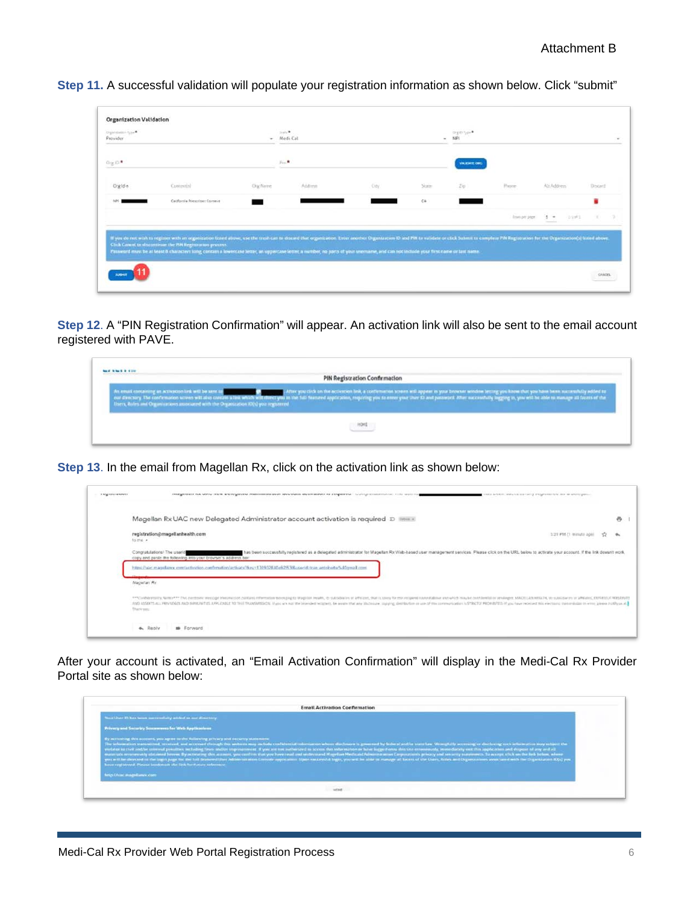**Step 11.** A successful validation will populate your registration information as shown below. Click "submit"

| Distributes fyje<br>Provider |                               | ٠          | State *<br>Medi Cal |       |       | organize.<br>N/P    |                      |                  |       |
|------------------------------|-------------------------------|------------|---------------------|-------|-------|---------------------|----------------------|------------------|-------|
| Org ID*                      |                               |            | $p_{\text{int}}$    |       |       | <b>VALIDATE CAR</b> |                      |                  |       |
| Digide.                      | Contestish                    | Orgifterre | Address             | City. | Suite | z <sub>0</sub>      | Present              | Alt Address      | Doced |
|                              | California Penscriper Connect |            |                     |       | $C\&$ |                     |                      |                  | ٠     |
|                              |                               |            |                     |       |       |                     | <b>Brancon' page</b> | 23951<br>$3 - 1$ | ×     |

**Step 12**. A "PIN Registration Confirmation" will appear. An activation link will also be sent to the email account registered with PAVE.

|                                                                                      | PIN Registration Confirmation                                                                                                                                                                                                  |
|--------------------------------------------------------------------------------------|--------------------------------------------------------------------------------------------------------------------------------------------------------------------------------------------------------------------------------|
| Ibers, Roles and Organizations associated with the Organization (O(s) you registered | As enail consense an amount lead to see to an about a link which will directly in the streeted ink, a confirment street will spear in your browns which letter you in the first you in the first you in the fill formed applic |
|                                                                                      |                                                                                                                                                                                                                                |

**Step 13**. In the email from Magellan Rx, click on the activation link as shown below:

| <b>A MONTHERN REPORTER</b> | темуетних на мну поля вплодесем напивативно вых высмата вызвания на повышем. Полта отавляются по-<br>this actuality study contractory integration test may an uncertainty                                                                                                                                                                                                                                                                                                      |  |
|----------------------------|--------------------------------------------------------------------------------------------------------------------------------------------------------------------------------------------------------------------------------------------------------------------------------------------------------------------------------------------------------------------------------------------------------------------------------------------------------------------------------|--|
|                            | Magellan Rx UAC new Delegated Administrator account activation is required D 1888 x                                                                                                                                                                                                                                                                                                                                                                                            |  |
|                            | registration@magellanhealth.com<br>Size PM (1 minute)<br>To me -                                                                                                                                                                                                                                                                                                                                                                                                               |  |
|                            | has been successfully registered as a delegated administrator for Magellan Rx Web-based user management services. Please click on the URL below to activate your account. If the link doesn't work.<br>Congratulations! The userid<br>copy and paste the following into your browser's address bor-<br>https://uac.magsillanex.com/astivation.com/neutine/activate7keg=130933840a92f63f8.coa-id-tran.antolevita%40gmail.com                                                    |  |
|                            | Magellan Ry                                                                                                                                                                                                                                                                                                                                                                                                                                                                    |  |
|                            | ***Confederations Name*** The network message interestion information messaging struggligh (maddates or afficials, that is struggligh struggligh message for example of a struggligh in example at a struggligh and admits abo<br>AND ADDETENTAL PRIVUSIOS AND INVOLVED LAPPLICATE TO THIS TRANSPORT. If you we want the interview temperature and any photosyle, stuping, destination or use of the intervaluation is \$78000 PROVIDED if you have received the<br>There yes: |  |
|                            | <b>4.</b> Reply<br><b>10</b> Forward                                                                                                                                                                                                                                                                                                                                                                                                                                           |  |

After your account is activated, an "Email Activation Confirmation" will display in the Medi-Cal Rx Provider Portal site as shown below:

|                                                                                                                                                                                        | <b>Froati Activation Confirmation</b>                                                                                                                                                                                                                                                                                                                                                                                                                                                                                                                                                                                                                                                                                                                                                                                                                                                                                              |
|----------------------------------------------------------------------------------------------------------------------------------------------------------------------------------------|------------------------------------------------------------------------------------------------------------------------------------------------------------------------------------------------------------------------------------------------------------------------------------------------------------------------------------------------------------------------------------------------------------------------------------------------------------------------------------------------------------------------------------------------------------------------------------------------------------------------------------------------------------------------------------------------------------------------------------------------------------------------------------------------------------------------------------------------------------------------------------------------------------------------------------|
| Next User 10 Jun favor warrantiery achieve so and discretivy.                                                                                                                          |                                                                                                                                                                                                                                                                                                                                                                                                                                                                                                                                                                                                                                                                                                                                                                                                                                                                                                                                    |
| Privacy and Security Scarswages for Web Applications                                                                                                                                   |                                                                                                                                                                                                                                                                                                                                                                                                                                                                                                                                                                                                                                                                                                                                                                                                                                                                                                                                    |
| By acrossing this account, you agree to the following privacy and security statement.<br>hour registered. Please bookmask the link for future reference<br>here if has magnitures com- | The selectron internation reacceptional, received, and accessed chrough thes seekeres may include combinedad reformation whose directories to governed by believal analise standing states from them, Wromphilly accessing or<br>ventator is that and he convert possible, not bable faces and/or imposuranced. If you are not authorized to accom this information or have logged awns this site errorizoutly, reviseduately east this papir and dispose of an<br>muser sits ensuremently obtained herem. By accounting this account, you confirm that you have resultent wide-scared Magellan Medicabl Advanced accounts privacy and severity supernoves. To accept shall see the behow, where<br>you perfil has decreased on the logost page that the full financies follows address consider applications Sheet successful larger, you and late on manager all become of the Chain, Roders and Disgunscribens aware and the Ch |
|                                                                                                                                                                                        |                                                                                                                                                                                                                                                                                                                                                                                                                                                                                                                                                                                                                                                                                                                                                                                                                                                                                                                                    |